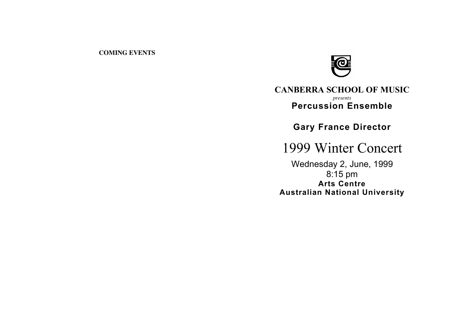### **COMING EVENTS**



## **CANBERRA SCHOOL OF MUSIC** *presents* **Percussion Ensemble**

**Gary France Director**

1999 Winter Concert

Wednesday 2, June, 1999 8:15 pm **Arts Centre Australian National University**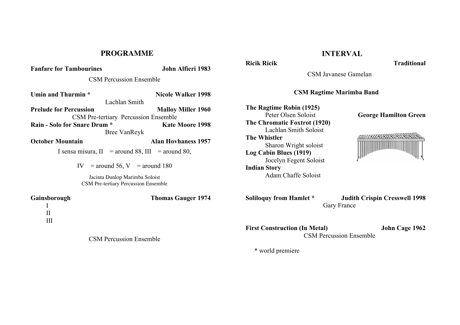### **PROGRAMME**

# **Fanfare for Tambourines John Alfieri 1983** CSM Percussion Ensemble **Umin and Thurmin \* Nicole Walker 1998** Lachlan Smith **Prelude for Percussion Malloy Miller 1960** CSM Pre-tertiary Percussion Ensemble **Rain - Solo for Snare Drum \* Kate Moore 1998** Bree VanReyk

**October Mountain Alan Hovhaness 1957**

I sensa misura,  $II =$  around 88,  $III =$  around 80,

IV = around 56, V = around 180

Jacinta Dunlop Marimba Soloist CSM Pre-tertiary Percussion Ensemble

I

**Gainsborough Thomas Gauger 1974**

II III

CSM Percussion Ensemble

## **INTERVAL**

**Ricik Ricik Traditional**

CSM Javanese Gamelan **CSM Ragtime Marimba Band The Ragtime Robin (1925)** Peter Olsen Soloist **George Hamilton Green The Chromatic Foxtrot (1920)** Lachlan Smith Soloist HAHAHAHAHARRASA **The Whistler** Sharon Wright soloist **Log Cabin Blues (1919)**

**Indian Story**

Jocelyn Fegent Soloist

Adam Chaffe Soloist

**Soliloquy from Hamlet \* Judith Crispin Cresswell 1998** Gary France

**First Construction (In Metal) John Cage 1962** CSM Percussion Ensemble

\* world premiere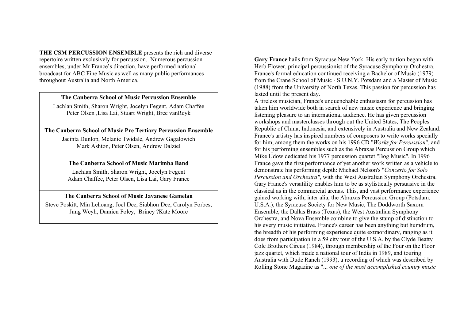**THE CSM PERCUSSION ENSEMBLE** presents the rich and diverse repertoire written exclusively for percussion.. Numerous percussion ensembles, under Mr France's direction, have performed national broadcast for ABC Fine Music as well as many public performances throughout Australia and North America.

#### **The Canberra School of Music Percussion Ensemble**

Lachlan Smith, Sharon Wright, Jocelyn Fegent, Adam Chaffee Peter Olsen ,Lisa Lai, Stuart Wright, Bree vanReyk

#### **The Canberra School of Music Pre Tertiary Percussion Ensemble**

Jacinta Dunlop, Melanie Twidale, Andrew Gagalowich Mark Ashton, Peter Olsen, Andrew Dalziel

#### **The Canberra School of Music Marimba Band**

Lachlan Smith, Sharon Wright, Jocelyn Fegent Adam Chaffee, Peter Olsen, Lisa Lai, Gary France

#### **The Canberra School of Music Javanese Gamelan**

Steve Poskitt, Min Lehoang, Joel Dee, Siabhon Dee, Carolyn Forbes, Jung Weyh, Damien Foley, Briney ?Kate Moore

**Gary France** hails from Syracuse New York. His early tuition began with Herb Flower, principal percussionist of the Syracuse Symphony Orchestra. France's formal education continued receiving a Bachelor of Music (1979) from the Crane School of Music - S.U.N.Y. Potsdam and a Master of Music (1988) from the University of North Texas. This passion for percussion has lasted until the present day.

A tireless musician, France's unquenchable enthusiasm for percussion has taken him worldwide both in search of new music experience and bringing listening pleasure to an international audience. He has given percussion workshops and masterclasses through out the United States, The Peoples Republic of China, Indonesia, and extensively in Australia and New Zealand. France's artistry has inspired numbers of composers to write works specially for him, among them the works on his 1996 CD "*Works for Percussion*", and for his performing ensembles such as the Abraxas Percussion Group which Mike Udow dedicated his 1977 percussion quartet "Bog Music". In 1996 France gave the first performance of yet another work written as a vehicle to demonstrate his performing depth: Michael Nelson's "*Concerto for Solo Percussion and Orchestra"*, with the West Australian Symphony Orchestra. Gary France's versatility enables him to be as stylistically persuasive in the classical as in the commercial arenas. This, and vast performance experience gained working with, inter alia, the Abraxas Percussion Group (Potsdam, U.S.A.), the Syracuse Society for New Music, The Doddworth Saxorn Ensemble, the Dallas Brass (Texas), the West Australian Symphony Orchestra, and Nova Ensemble combine to give the stamp of distinction to his every music initiative. France's career has been anything but humdrum, the breadth of his performing experience quite extraordinary, ranging as it does from participation in a 59 city tour of the U.S.A. by the Clyde Beatty Cole Brothers Circus (1984), through membership of the Four on the Floor jazz quartet, which made a national tour of India in 1989, and touring Australia with Dude Ranch (1993), a recording of which was described by Rolling Stone Magazine as "... *one of the most accomplished country music*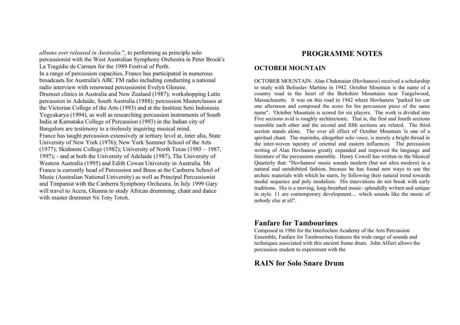*albums ever released in Australia*.", to performing as principle solo percussionist with the West Australian Symphony Orchestra in Peter Brook's La Tragédie de Carmen for the 1989 Festival of Perth. In a range of percussion capacities, France has participated in numerous broadcasts for Australia's ABC FM radio including conducting a national radio interview with renowned percussionist Evelyn Glennie. Drumset clinics in Australia and New Zealand (1987); workshopping Latin percussion in Adelaide, South Australia (1988); percussion Masterclasses at the Victorian College of the Arts (1993) and at the Institute Seni Indonesia Yogyakarya (1994), as well as researching percussion instruments of South India at Karnataka College of Percussion (1993) in the Indian city of Bangalore are testimony to a tirelessly inquiring musical mind. France has taught percussion extensively at tertiary level at, inter alia, State University of New York (1976); New York Summer School of the Arts (1977); Skidmore College (1982); University of North Texas (1985 – 1987, 1997); - and at both the University of Adelaide (1987), The University of Western Australia (1995) and Edith Cowan University in Australia. Mr France is currently head of Percussion and Brass at the Canberra School of Music (Australian National University) as well as Principal Percussionist and Timpanist with the Canberra Symphony Orchestra. In July 1999 Gary will travel to Accra, Ghanna to study African drumming, chant and dance with master drummer Nii Tetty Tetteh.

## **PROGRAMME NOTES**

### **OCTOBER MOUNTAIN**

OCTOBER MOUNTAIN- Alan Chakmaian (Hovhaness) received a scholarship to study with Boliuslav Martinu in 1942. October Mountain is the name of a country road in the heart of the Berkshire Mountains near Tangelwood, Massachusetts. It was on this road in 1942 where Hovhaness "parked his car one afternoon and composed the score for his percussion piece of the same name". 'October Mountain is scored for six players. The work is divided into Five sections avid is roughly architectonic. That is, the first and fourth sections resemble each other and the second and fifth sections are related. The third section stands alone. The over all effect of' October Mountain 'is one of a spiritual chant. The marimba, altogether solo voice, is merely a bright thread in the inter-woven tapestry of oriental and eastern influences. The percussion writing of Alan Hovhaness greatly expanded and improved the language and literature of the percussion ensemble. Henry Cowell has written in the Musical Quarterly that: "Hovhaness' music sounds modern (but not ultra modern) in a natural and uninhibited fashion, because he has found new ways to use the archaic materials with which he starts, by following their natural trend towards modal sequence and poly modalism. His innovations do not break with early traditions. His is a moving, long-breathed music- splendidly written and unique in style. 11 are contemporary development.... which sounds like the music of nobody else at all".

### **Fanfare for Tambourines**

Composed in 1986 for the Interlochen Academy of the Arts Percussion Ensemble, Fanfare for Tambourines features the wide range of sounds and techniques associated with this ancient frame drum. John Alfieri allows the percussion student to experiment with the

### **RAIN for Solo Snare Drum**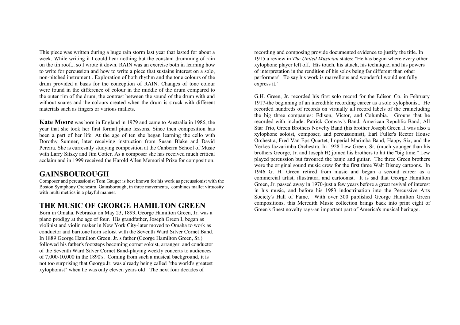This piece was written during a huge rain storm last year that lasted for about a week. While writing it I could hear nothing but the constant drumming of rain on the tin roof... so I wrote it down. RAIN was an exercise both in learning how to write for percussion and how to write a piece that sustains interest on a solo, non-pitched instrument . Exploration of both rhythm and the tone colours of the drum provided a basis for the conception of RAIN. Changes of tone colour were found in the difference of colour in the middle of the drum compared to the outer rim of the drum, the contrast between the sound of the drum with and without snares and the colours created when the drum is struck with different materials such as fingers or various mallets.

**Kate Moore** was born in England in 1979 and came to Australia in 1986, the year that she took her first formal piano lessons. Since then composition has been a part of her life. At the age of ten she began learning the cello with Dorothy Sumner, later receiving instruction from Susan Blake and David Pereira. She is curresntly studying composition at the Canberra School of Music with Larry Sitsky and Jim Cotter. As a composer she has received much critical acclaim and in 1999 received the Harold Allen Memorial Prize for composition.

### **GAINSBOUROUGH**

Composer and percussionist Tom Gauger is best known for his work as percussionist with the Boston Symphony Orchestra. Gainsborough, in three movements, combines mallet virtuosity with multi metrics in a playful manner.

## **THE MUSIC OF GEORGE HAMILTON GREEN**

Born in Omaha, Nebraska on May 23, 1893, George Hamilton Green, Jr. was a piano prodigy at the age of four. His grandfather, Joseph Green I, began as violinist and violin maker in New York City-later moved to Omaha to work as conductor and baritone horn soloist with the Seventh Ward Silver Cornet Band. In 1889 George Hamilton Green, Jr.'s father (George Hamilton Green, Sr.) followed his father's footsteps becoming cornet soloist, arranger, and conductor of the Seventh Ward Silver Cornet Band-playing weekly concerts to audiences of 7,000-10,000 in the 1890's. Coming from such a musical background, it is not too surprising that George Jr. was already being called "the world's greatest xylophonist" when he was only eleven years old! The next four decades of

recording and composing provide documented evidence to justify the title. In 1915 a review in *The United Musician* states: "He has begun where every other xylophone player left off. His touch, his attack, his technique, and his powers of interpretation in the rendition of his solos being far different than other performers'. To say his work is marvellous and wonderful would not fully express it."

G.H. Green, Jr. recorded his first solo record for the Edison Co. in February 1917-the beginning of an incredible recording career as a solo xylophonist. He recorded hundreds of records on virtually all record labels of the eraincluding the big three companies: Edison, Victor, and Columbia. Groups that he recorded with include: Patrick Conway's Band, American Republic Band, All Star Trio, Green Brothers Novelty Band (his brother Joseph Green II was also a xylophone soloist, composer, and percussionist), Earl Fuller's Rector House Orchestra, Fred Van Eps Quartet, Imperial Marimba Band, Happy Six, and the Yerkes Jazzarimba Orchestra. In 1928 Lew Green, Sr. (much younger than his brothers George, Jr. and Joseph H) joined his brothers to hit the "big time." Lew played percussion but favoured the banjo and guitar. The three Green brothers were the original sound music crew for the first three Walt Disney cartoons. In 1946 G. H. Green retired from music and began a second career as a commercial artist, illustrator, and cartoonist. It is sad that George Hamilton Green, Jr. passed away in 1970-just a few years before a great revival of interest in his music, and before his 1983 indoctrination into the Percussive Arts Society's Hall of Fame. With over 300 published George Hamilton Green compositions, this Meredith Music collection brings back into print eight of Green's finest novelty rags-an important part of America's musical heritage.